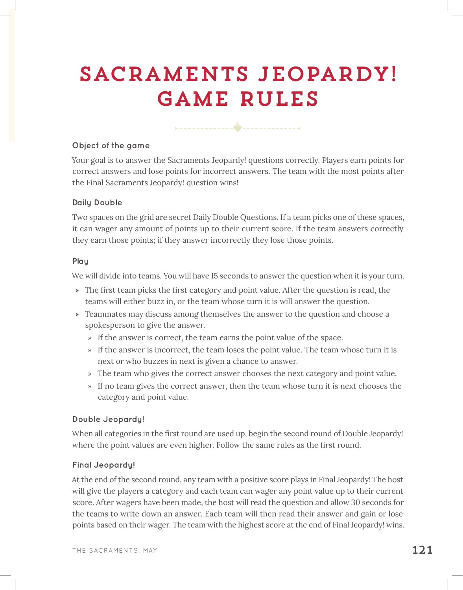# SACRAMENTS JEOPARDY! Game Rules

## **Object of the game**

Your goal is to answer the Sacraments Jeopardy! questions correctly. Players earn points for correct answers and lose points for incorrect answers. The team with the most points after the Final Sacraments Jeopardy! question wins!

## **Daily Double**

Two spaces on the grid are secret Daily Double Questions. If a team picks one of these spaces, it can wager any amount of points up to their current score. If the team answers correctly they earn those points; if they answer incorrectly they lose those points.

#### **Play**

We will divide into teams. You will have 15 seconds to answer the question when it is your turn.

- ӹ The first team picks the first category and point value. After the question is read, the teams will either buzz in, or the team whose turn it is will answer the question.
- $\rightarrow$  Teammates may discuss among themselves the answer to the question and choose a spokesperson to give the answer.
	- » If the answer is correct, the team earns the point value of the space.
	- » If the answer is incorrect, the team loses the point value. The team whose turn it is next or who buzzes in next is given a chance to answer.
	- » The team who gives the correct answer chooses the next category and point value.
	- » If no team gives the correct answer, then the team whose turn it is next chooses the category and point value.

## **Double Jeopardy!**

When all categories in the first round are used up, begin the second round of Double Jeopardy! where the point values are even higher. Follow the same rules as the first round.

## **Final Jeopardy!**

At the end of the second round, any team with a positive score plays in Final Jeopardy! The host will give the players a category and each team can wager any point value up to their current score. After wagers have been made, the host will read the question and allow 30 seconds for the teams to write down an answer. Each team will then read their answer and gain or lose points based on their wager. The team with the highest score at the end of Final Jeopardy! wins.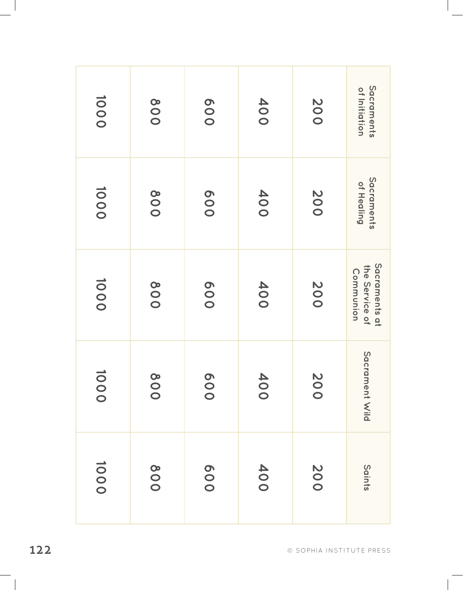| 1000        | 008                         | 009                         | 400                                | 200 | Sacraments<br>of Initiation                         |
|-------------|-----------------------------|-----------------------------|------------------------------------|-----|-----------------------------------------------------|
| 1000        | 008                         | 009                         | 400                                | 200 | Sacraments<br>of Healing                            |
| 1000        | 008                         | 009                         | 400                                | 200 | Sacraments at<br>the Service of<br><b>Communion</b> |
| <b>1000</b> | $\bullet$<br>$\overline{O}$ | $\bullet$<br>$\overline{O}$ | $\blacktriangle$<br>$\overline{O}$ | 200 | Sacrament Wild                                      |
| 1000        | 008                         | 009                         | 400                                | 200 | Saints                                              |